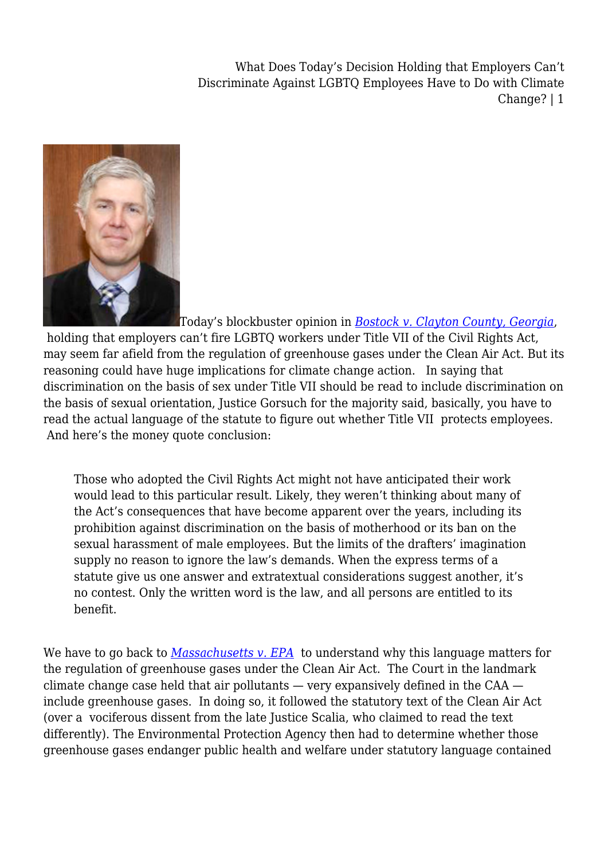

Today's blockbuster opinion in *[Bostock v. Clayton County, Georgia](https://drive.google.com/file/d/1zLepIMX4WUn_kX75-wb4hKWnjONhqz5l/view)*, holding that employers can't fire LGBTQ workers under Title VII of the Civil Rights Act, may seem far afield from the regulation of greenhouse gases under the Clean Air Act. But its reasoning could have huge implications for climate change action. In saying that discrimination on the basis of sex under Title VII should be read to include discrimination on the basis of sexual orientation, Justice Gorsuch for the majority said, basically, you have to read the actual language of the statute to figure out whether Title VII protects employees. And here's the money quote conclusion:

Those who adopted the Civil Rights Act might not have anticipated their work would lead to this particular result. Likely, they weren't thinking about many of the Act's consequences that have become apparent over the years, including its prohibition against discrimination on the basis of motherhood or its ban on the sexual harassment of male employees. But the limits of the drafters' imagination supply no reason to ignore the law's demands. When the express terms of a statute give us one answer and extratextual considerations suggest another, it's no contest. Only the written word is the law, and all persons are entitled to its benefit.

We have to go back to *[Massachusetts v. EPA](https://supreme.justia.com/cases/federal/us/549/497/#tab-opinion-1962178)* to understand why this language matters for the regulation of greenhouse gases under the Clean Air Act. The Court in the landmark climate change case held that air pollutants — very expansively defined in the CAA include greenhouse gases. In doing so, it followed the statutory text of the Clean Air Act (over a vociferous dissent from the late Justice Scalia, who claimed to read the text differently). The Environmental Protection Agency then had to determine whether those greenhouse gases endanger public health and welfare under statutory language contained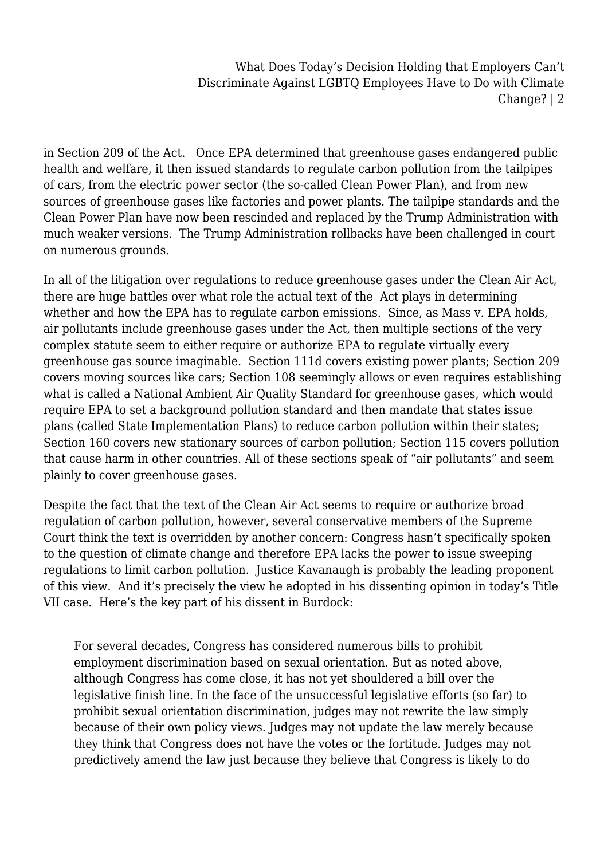in Section 209 of the Act. Once EPA determined that greenhouse gases endangered public health and welfare, it then issued standards to regulate carbon pollution from the tailpipes of cars, from the electric power sector (the so-called Clean Power Plan), and from new sources of greenhouse gases like factories and power plants. The tailpipe standards and the Clean Power Plan have now been rescinded and replaced by the Trump Administration with much weaker versions. The Trump Administration rollbacks have been challenged in court on numerous grounds.

In all of the litigation over regulations to reduce greenhouse gases under the Clean Air Act, there are huge battles over what role the actual text of the Act plays in determining whether and how the EPA has to regulate carbon emissions. Since, as Mass v. EPA holds, air pollutants include greenhouse gases under the Act, then multiple sections of the very complex statute seem to either require or authorize EPA to regulate virtually every greenhouse gas source imaginable. Section 111d covers existing power plants; Section 209 covers moving sources like cars; Section 108 seemingly allows or even requires establishing what is called a National Ambient Air Quality Standard for greenhouse gases, which would require EPA to set a background pollution standard and then mandate that states issue plans (called State Implementation Plans) to reduce carbon pollution within their states; Section 160 covers new stationary sources of carbon pollution; Section 115 covers pollution that cause harm in other countries. All of these sections speak of "air pollutants" and seem plainly to cover greenhouse gases.

Despite the fact that the text of the Clean Air Act seems to require or authorize broad regulation of carbon pollution, however, several conservative members of the Supreme Court think the text is overridden by another concern: Congress hasn't specifically spoken to the question of climate change and therefore EPA lacks the power to issue sweeping regulations to limit carbon pollution. Justice Kavanaugh is probably the leading proponent of this view. And it's precisely the view he adopted in his dissenting opinion in today's Title VII case. Here's the key part of his dissent in Burdock:

For several decades, Congress has considered numerous bills to prohibit employment discrimination based on sexual orientation. But as noted above, although Congress has come close, it has not yet shouldered a bill over the legislative finish line. In the face of the unsuccessful legislative efforts (so far) to prohibit sexual orientation discrimination, judges may not rewrite the law simply because of their own policy views. Judges may not update the law merely because they think that Congress does not have the votes or the fortitude. Judges may not predictively amend the law just because they believe that Congress is likely to do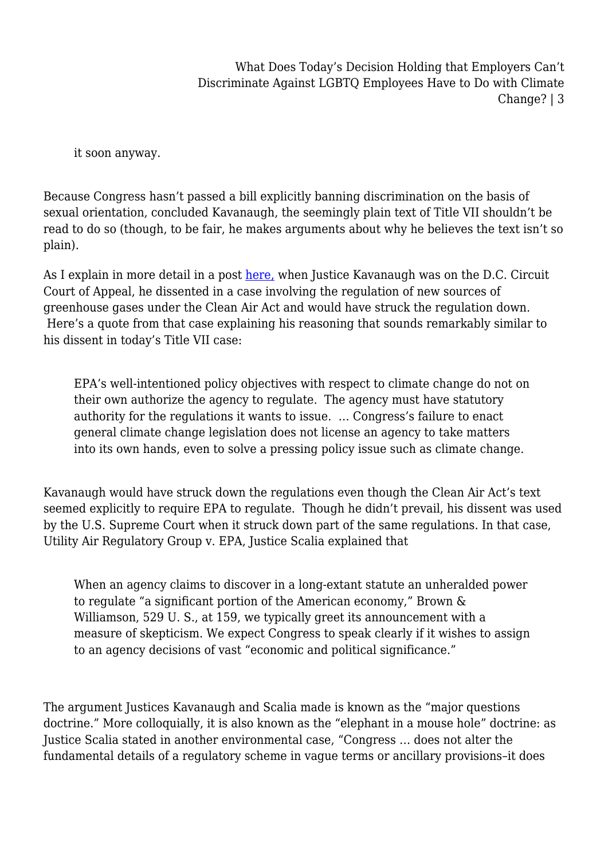it soon anyway.

Because Congress hasn't passed a bill explicitly banning discrimination on the basis of sexual orientation, concluded Kavanaugh, the seemingly plain text of Title VII shouldn't be read to do so (though, to be fair, he makes arguments about why he believes the text isn't so plain).

As I explain in more detail in a post [here,](https://legal-planet.org/2019/11/27/greenhouse-gas-regulations-under-the-clean-air-act-are-doomed/) when Justice Kavanaugh was on the D.C. Circuit Court of Appeal, he dissented in a case involving the regulation of new sources of greenhouse gases under the Clean Air Act and would have struck the regulation down. Here's a quote from that case explaining his reasoning that sounds remarkably similar to his dissent in today's Title VII case:

EPA's well-intentioned policy objectives with respect to climate change do not on their own authorize the agency to regulate. The agency must have statutory authority for the regulations it wants to issue. … Congress's failure to enact general climate change legislation does not license an agency to take matters into its own hands, even to solve a pressing policy issue such as climate change.

Kavanaugh would have struck down the regulations even though the Clean Air Act's text seemed explicitly to require EPA to regulate. Though he didn't prevail, his dissent was used by the U.S. Supreme Court when it struck down part of the same regulations. In that case, Utility Air Regulatory Group v. EPA, Justice Scalia explained that

When an agency claims to discover in a long-extant statute an unheralded power to regulate "a significant portion of the American economy," Brown & Williamson, 529 U. S., at 159, we typically greet its announcement with a measure of skepticism. We expect Congress to speak clearly if it wishes to assign to an agency decisions of vast "economic and political significance."

The argument Justices Kavanaugh and Scalia made is known as the "major questions doctrine." More colloquially, it is also known as the "elephant in a mouse hole" doctrine: as Justice Scalia stated in another environmental case, "Congress … does not alter the fundamental details of a regulatory scheme in vague terms or ancillary provisions–it does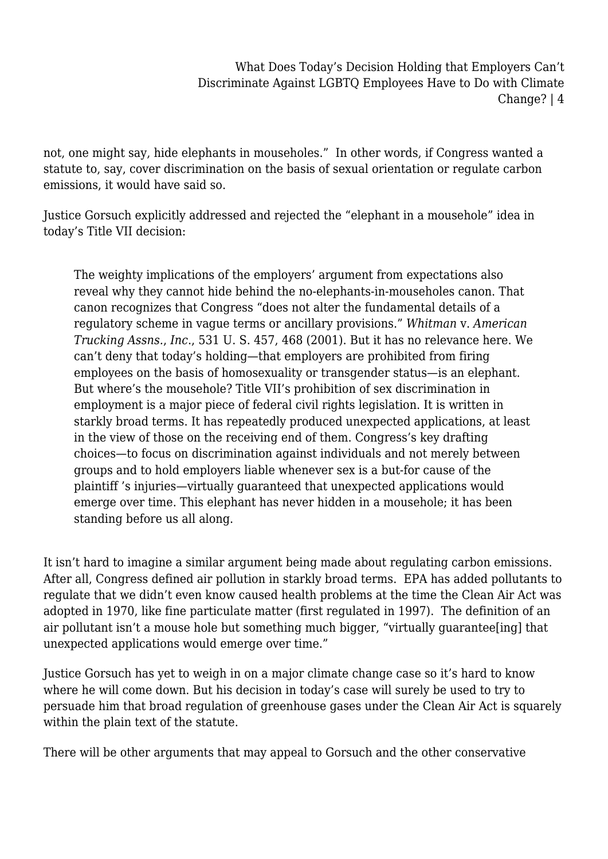not, one might say, hide elephants in mouseholes." In other words, if Congress wanted a statute to, say, cover discrimination on the basis of sexual orientation or regulate carbon emissions, it would have said so.

Justice Gorsuch explicitly addressed and rejected the "elephant in a mousehole" idea in today's Title VII decision:

The weighty implications of the employers' argument from expectations also reveal why they cannot hide behind the no-elephants-in-mouseholes canon. That canon recognizes that Congress "does not alter the fundamental details of a regulatory scheme in vague terms or ancillary provisions." *Whitman* v. *American Trucking Assns.*, *Inc*., 531 U. S. 457, 468 (2001). But it has no relevance here. We can't deny that today's holding—that employers are prohibited from firing employees on the basis of homosexuality or transgender status—is an elephant. But where's the mousehole? Title VII's prohibition of sex discrimination in employment is a major piece of federal civil rights legislation. It is written in starkly broad terms. It has repeatedly produced unexpected applications, at least in the view of those on the receiving end of them. Congress's key drafting choices—to focus on discrimination against individuals and not merely between groups and to hold employers liable whenever sex is a but-for cause of the plaintiff 's injuries—virtually guaranteed that unexpected applications would emerge over time. This elephant has never hidden in a mousehole; it has been standing before us all along.

It isn't hard to imagine a similar argument being made about regulating carbon emissions. After all, Congress defined air pollution in starkly broad terms. EPA has added pollutants to regulate that we didn't even know caused health problems at the time the Clean Air Act was adopted in 1970, like fine particulate matter (first regulated in 1997). The definition of an air pollutant isn't a mouse hole but something much bigger, "virtually guarantee[ing] that unexpected applications would emerge over time."

Justice Gorsuch has yet to weigh in on a major climate change case so it's hard to know where he will come down. But his decision in today's case will surely be used to try to persuade him that broad regulation of greenhouse gases under the Clean Air Act is squarely within the plain text of the statute.

There will be other arguments that may appeal to Gorsuch and the other conservative